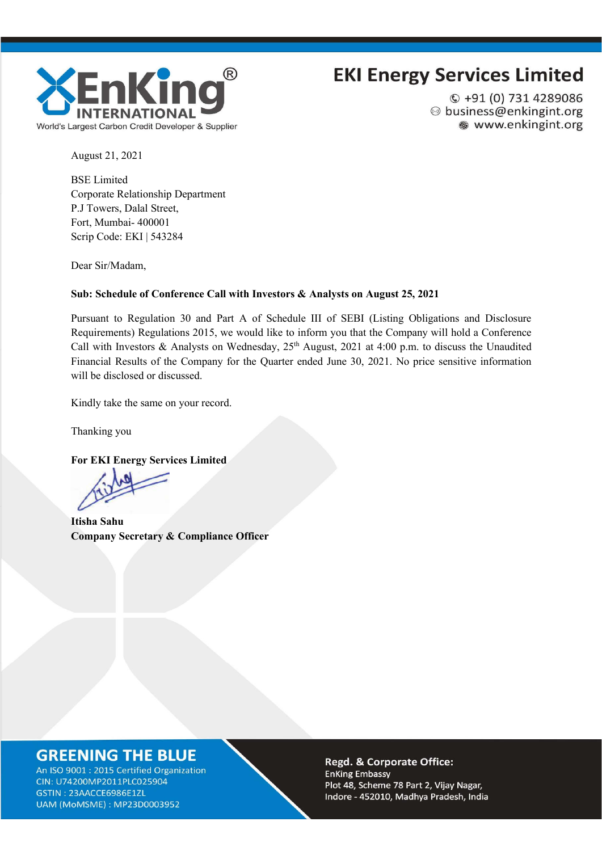

### **EKI Energy Services Limited**

 $Q + 91(0)$  731 4289086 ◎ business@enkingint.org ● www.enkingint.org

August 21, 2021

BSE Limited Corporate Relationship Department P.J Towers, Dalal Street, Fort, Mumbai- 400001 Scrip Code: EKI | 543284

Dear Sir/Madam,

#### **Sub: Schedule of Conference Call with Investors & Analysts on August 25, 2021**

Pursuant to Regulation 30 and Part A of Schedule III of SEBI (Listing Obligations and Disclosure Requirements) Regulations 2015, we would like to inform you that the Company will hold a Conference Call with Investors & Analysts on Wednesday, 25<sup>th</sup> August, 2021 at 4:00 p.m. to discuss the Unaudited Financial Results of the Company for the Quarter ended June 30, 2021. No price sensitive information will be disclosed or discussed.

Kindly take the same on your record.

Thanking you

**For EKI Energy Services Limited**

**Itisha Sahu Company Secretary & Compliance Officer**

### **GREENING THE BLUE**

An ISO 9001 : 2015 Certified Organization CIN: U74200MP2011PLC025904 GSTIN: 23AACCE6986E1ZL UAM (MoMSME): MP23D0003952

Regd. & Corporate Office: **EnKing Embassy** Plot 48, Scheme 78 Part 2, Vijay Nagar, Indore - 452010, Madhya Pradesh, India